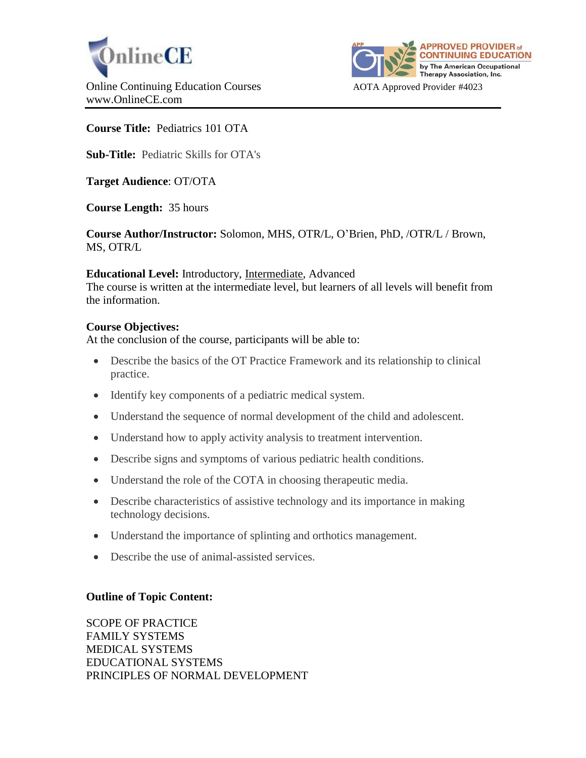



# **Course Title:** Pediatrics 101 OTA

**Sub-Title:** Pediatric Skills for OTA's

**Target Audience**: OT/OTA

**Course Length:** 35 hours

**Course Author/Instructor:** Solomon, MHS, OTR/L, O'Brien, PhD, /OTR/L / Brown, MS, OTR/L

### **Educational Level:** Introductory, Intermediate, Advanced

The course is written at the intermediate level, but learners of all levels will benefit from the information.

## **Course Objectives:**

At the conclusion of the course, participants will be able to:

- Describe the basics of the OT Practice Framework and its relationship to clinical practice.
- Identify key components of a pediatric medical system.
- Understand the sequence of normal development of the child and adolescent.
- Understand how to apply activity analysis to treatment intervention.
- Describe signs and symptoms of various pediatric health conditions.
- Understand the role of the COTA in choosing therapeutic media.
- Describe characteristics of assistive technology and its importance in making technology decisions.
- Understand the importance of splinting and orthotics management.
- Describe the use of animal-assisted services.

# **Outline of Topic Content:**

SCOPE OF PRACTICE FAMILY SYSTEMS MEDICAL SYSTEMS EDUCATIONAL SYSTEMS PRINCIPLES OF NORMAL DEVELOPMENT